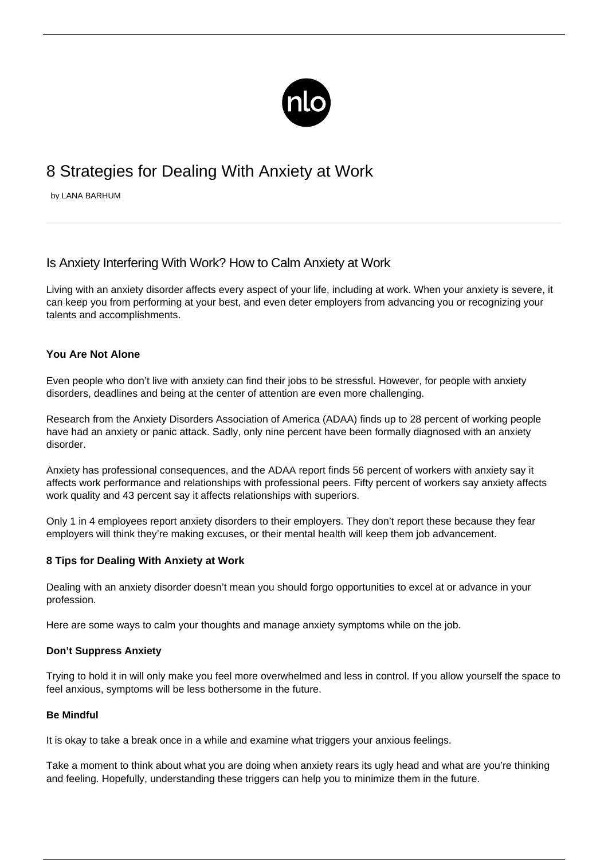

# 8 Strategies for Dealing With Anxiety at Work

by LANA BARHUM

# Is Anxiety Interfering With Work? How to Calm Anxiety at Work

Living with an [anxiety disorder](/types-anxiety/) affects every aspect of your life, including at work. When your anxiety is severe, it can keep you from performing at your best, and even deter employers from advancing you or recognizing your talents and accomplishments.

# **You Are Not Alone**

Even people who don't live with anxiety can find their jobs to be stressful. However, for people with anxiety disorders, deadlines and being at the center of attention are even more challenging.

Research from the Anxiety Disorders Association of America (ADAA) finds up to 28 percent of working people have had an anxiety or panic attack. Sadly, only nine percent have been formally diagnosed with an anxiety disorder.

Anxiety has professional consequences, and the ADAA report finds 56 percent of workers with anxiety say it affects work performance and relationships with professional peers. Fifty percent of workers say anxiety affects work quality and 43 percent say it affects relationships with superiors.

Only 1 in 4 employees report anxiety disorders to their employers. They don't report these because they fear employers will think they're making excuses, or their mental health will keep them job advancement.

# **8 Tips for Dealing With Anxiety at Work**

Dealing with an anxiety disorder doesn't mean you should forgo opportunities to excel at or advance in your profession.

Here are some ways to [calm your thoughts and manage anxiety symptoms](/how-to-calm-anxiety/) while on the job.

# **Don't Suppress Anxiety**

Trying to hold it in will only make you feel more overwhelmed and less in control. If you allow yourself the space to feel anxious, symptoms will be less bothersome in the future.

# **Be Mindful**

It is okay to take a break once in a while and examine what triggers your anxious feelings.

Take a moment to think about what you are doing when anxiety rears its ugly head and what are you're thinking and feeling. Hopefully, understanding these triggers can help you to minimize them in the future.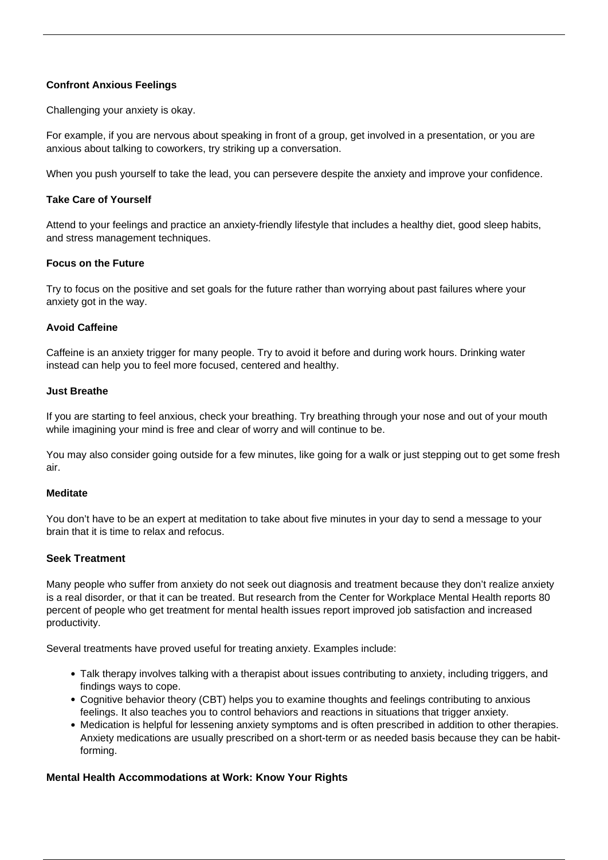# **Confront Anxious Feelings**

Challenging your anxiety is okay.

For example, if you are nervous about speaking in front of a group, get involved in a presentation, or you are anxious about talking to coworkers, try striking up a conversation.

When you push yourself to take the lead, you can persevere despite the anxiety and improve your confidence.

#### **Take Care of Yourself**

Attend to your feelings and practice an anxiety-friendly lifestyle that includes a healthy diet, good sleep habits, and stress management techniques.

#### **Focus on the Future**

Try to focus on the positive and set goals for the future rather than worrying about past failures where your anxiety got in the way.

#### **Avoid Caffeine**

Caffeine is an anxiety trigger for many people. Try to avoid it before and during work hours. Drinking water instead can help you to feel more focused, centered and healthy.

#### **Just Breathe**

If you are starting to feel anxious, check your breathing. Try breathing through your nose and out of your mouth while imagining your mind is free and clear of worry and will continue to be.

You may also consider going outside for a few minutes, like going for a walk or just stepping out to get some fresh air.

#### **Meditate**

You don't have to be an expert at meditation to take about five minutes in your day to send a message to your brain that it is time to relax and refocus.

# **Seek Treatment**

Many people who suffer from anxiety do not seek out diagnosis and treatment because they don't realize anxiety is a real disorder, or that it can be treated. But research from the Center for Workplace Mental Health reports 80 percent of people who get treatment for mental health issues report improved job satisfaction and increased productivity.

Several treatments have proved useful for treating anxiety. Examples include:

- Talk therapy involves talking with a therapist about issues contributing to anxiety, including triggers, and findings ways to cope.
- Cognitive behavior theory (CBT) helps you to examine thoughts and feelings contributing to anxious feelings. It also teaches you to control behaviors and reactions in situations that trigger anxiety.
- Medication is helpful for lessening [anxiety symptoms](/anxiety-physical-symptoms/) and is often prescribed in addition to other therapies. Anxiety medications are usually prescribed on a short-term or as needed basis because they can be habitforming.

# **Mental Health Accommodations at Work: Know Your Rights**